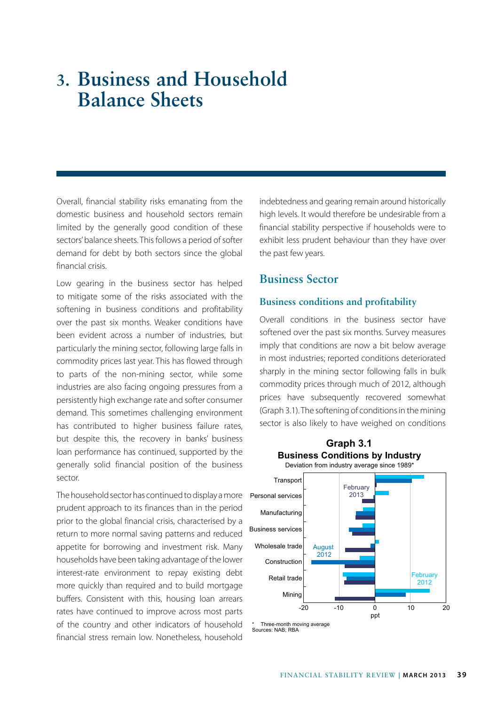### **3. Business and Household Balance Sheets**

Overall, financial stability risks emanating from the domestic business and household sectors remain limited by the generally good condition of these sectors' balance sheets. This follows a period of softer demand for debt by both sectors since the global financial crisis.

Low gearing in the business sector has helped to mitigate some of the risks associated with the softening in business conditions and profitability over the past six months. Weaker conditions have been evident across a number of industries, but particularly the mining sector, following large falls in commodity prices last year. This has flowed through to parts of the non-mining sector, while some industries are also facing ongoing pressures from a persistently high exchange rate and softer consumer demand. This sometimes challenging environment has contributed to higher business failure rates, but despite this, the recovery in banks' business loan performance has continued, supported by the generally solid financial position of the business sector.

The household sector has continued to display a more prudent approach to its finances than in the period prior to the global financial crisis, characterised by a return to more normal saving patterns and reduced appetite for borrowing and investment risk. Many households have been taking advantage of the lower interest-rate environment to repay existing debt more quickly than required and to build mortgage buffers. Consistent with this, housing loan arrears rates have continued to improve across most parts of the country and other indicators of household financial stress remain low. Nonetheless, household

indebtedness and gearing remain around historically high levels. It would therefore be undesirable from a financial stability perspective if households were to exhibit less prudent behaviour than they have over the past few years.

### **Business Sector**

### **Business conditions and profitability**

Overall conditions in the business sector have softened over the past six months. Survey measures imply that conditions are now a bit below average in most industries; reported conditions deteriorated sharply in the mining sector following falls in bulk commodity prices through much of 2012, although prices have subsequently recovered somewhat (Graph 3.1). The softening of conditions in the mining sector is also likely to have weighed on conditions

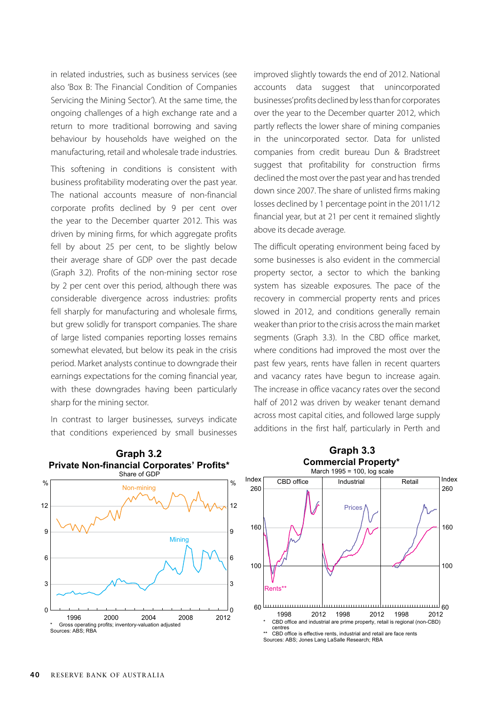in related industries, such as business services (see also 'Box B: The Financial Condition of Companies Servicing the Mining Sector'). At the same time, the ongoing challenges of a high exchange rate and a return to more traditional borrowing and saving behaviour by households have weighed on the manufacturing, retail and wholesale trade industries.

This softening in conditions is consistent with business profitability moderating over the past year. The national accounts measure of non-financial corporate profits declined by 9 per cent over the year to the December quarter 2012. This was driven by mining firms, for which aggregate profits fell by about 25 per cent, to be slightly below their average share of GDP over the past decade (Graph 3.2). Profits of the non-mining sector rose by 2 per cent over this period, although there was considerable divergence across industries: profits fell sharply for manufacturing and wholesale firms, but grew solidly for transport companies. The share of large listed companies reporting losses remains somewhat elevated, but below its peak in the crisis period. Market analysts continue to downgrade their earnings expectations for the coming financial year, with these downgrades having been particularly sharp for the mining sector.

In contrast to larger businesses, surveys indicate that conditions experienced by small businesses



The difficult operating environment being faced by some businesses is also evident in the commercial property sector, a sector to which the banking system has sizeable exposures. The pace of the recovery in commercial property rents and prices slowed in 2012, and conditions generally remain weaker than prior to the crisis across the main market segments (Graph 3.3). In the CBD office market, where conditions had improved the most over the past few years, rents have fallen in recent quarters and vacancy rates have begun to increase again. The increase in office vacancy rates over the second half of 2012 was driven by weaker tenant demand across most capital cities, and followed large supply additions in the first half, particularly in Perth and



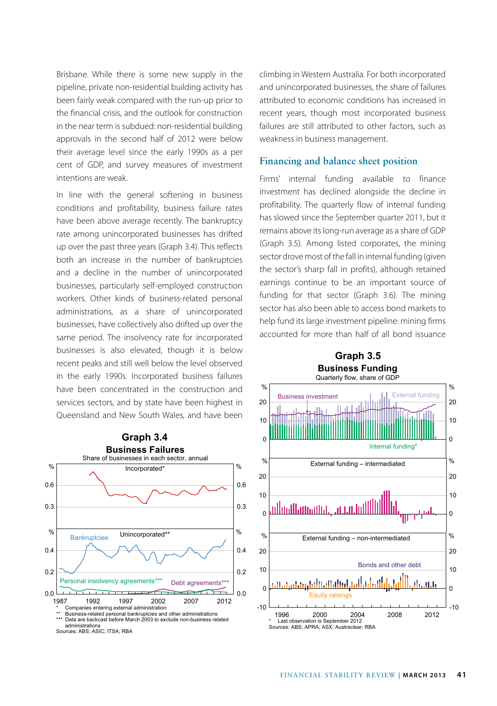Brisbane. While there is some new supply in the pipeline, private non-residential building activity has been fairly weak compared with the run-up prior to the financial crisis, and the outlook for construction in the near term is subdued: non-residential building approvals in the second half of 2012 were below their average level since the early 1990s as a per cent of GDP, and survey measures of investment intentions are weak.

In line with the general softening in business conditions and profitability, business failure rates have been above average recently. The bankruptcy rate among unincorporated businesses has drifted up over the past three years (Graph 3.4). This reflects both an increase in the number of bankruptcies and a decline in the number of unincorporated businesses, particularly self-employed construction workers. Other kinds of business-related personal administrations, as a share of unincorporated businesses, have collectively also drifted up over the same period. The insolvency rate for incorporated businesses is also elevated, though it is below recent peaks and still well below the level observed in the early 1990s. Incorporated business failures have been concentrated in the construction and services sectors, and by state have been highest in Queensland and New South Wales, and have been



climbing in Western Australia. For both incorporated and unincorporated businesses, the share of failures attributed to economic conditions has increased in recent years, though most incorporated business failures are still attributed to other factors, such as weakness in business management.

#### **Financing and balance sheet position**

Firms' internal funding available to finance investment has declined alongside the decline in profitability. The quarterly flow of internal funding has slowed since the September quarter 2011, but it remains above its long-run average as a share of GDP (Graph 3.5). Among listed corporates, the mining sector drove most of the fall in internal funding (given the sector's sharp fall in profits), although retained earnings continue to be an important source of funding for that sector (Graph 3.6). The mining sector has also been able to access bond markets to help fund its large investment pipeline: mining firms accounted for more than half of all bond issuance

**Graph 3.5**

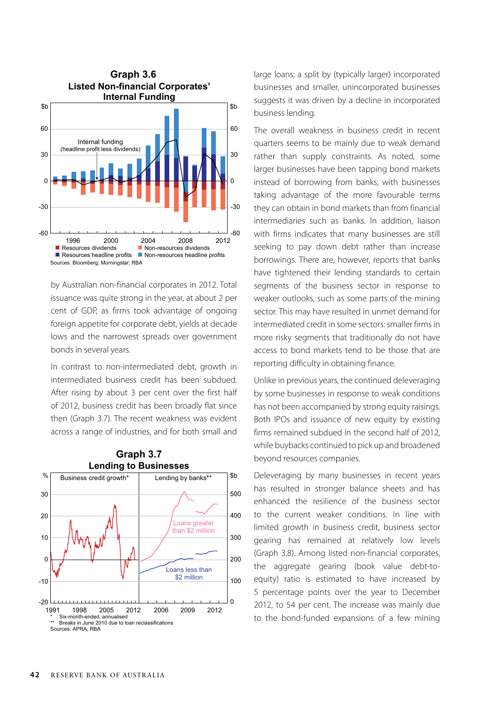

by Australian non-financial corporates in 2012. Total issuance was quite strong in the year, at about 2 per cent of GDP, as firms took advantage of ongoing foreign appetite for corporate debt, yields at decade lows and the narrowest spreads over government bonds in several years.

In contrast to non-intermediated debt, growth in intermediated business credit has been subdued. After rising by about 3 per cent over the first half of 2012, business credit has been broadly flat since then (Graph 3.7). The recent weakness was evident across a range of industries, and for both small and



### **Graph 3.7**

large loans; a split by (typically larger) incorporated businesses and smaller, unincorporated businesses suggests it was driven by a decline in incorporated business lending.

The overall weakness in business credit in recent quarters seems to be mainly due to weak demand rather than supply constraints. As noted, some larger businesses have been tapping bond markets instead of borrowing from banks, with businesses taking advantage of the more favourable terms they can obtain in bond markets than from financial intermediaries such as banks. In addition, liaison with firms indicates that many businesses are still seeking to pay down debt rather than increase borrowings. There are, however, reports that banks have tightened their lending standards to certain segments of the business sector in response to weaker outlooks, such as some parts of the mining sector. This may have resulted in unmet demand for intermediated credit in some sectors: smaller firms in more risky segments that traditionally do not have access to bond markets tend to be those that are reporting difficulty in obtaining finance.

Unlike in previous years, the continued deleveraging by some businesses in response to weak conditions has not been accompanied by strong equity raisings. Both IPOs and issuance of new equity by existing firms remained subdued in the second half of 2012, while buybacks continued to pick up and broadened beyond resources companies.

Deleveraging by many businesses in recent years has resulted in stronger balance sheets and has enhanced the resilience of the business sector to the current weaker conditions. In line with limited growth in business credit, business sector gearing has remained at relatively low levels (Graph 3.8). Among listed non-financial corporates, the aggregate gearing (book value debt-toequity) ratio is estimated to have increased by 5 percentage points over the year to December 2012, to 54 per cent. The increase was mainly due to the bond-funded expansions of a few mining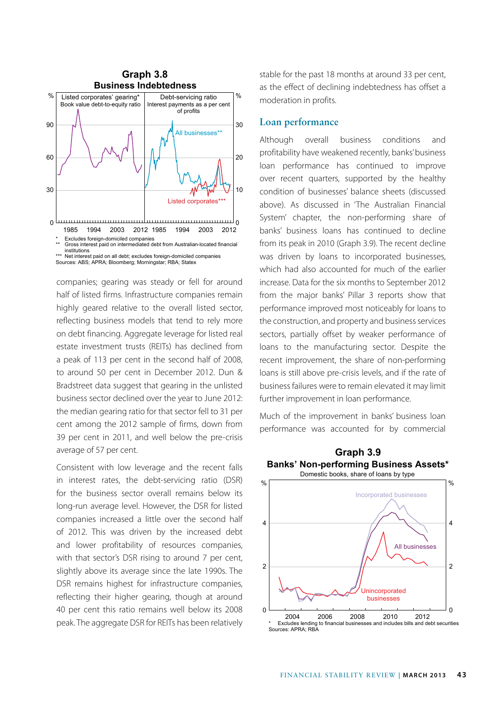

companies; gearing was steady or fell for around half of listed firms. Infrastructure companies remain highly geared relative to the overall listed sector, reflecting business models that tend to rely more on debt financing. Aggregate leverage for listed real estate investment trusts (REITs) has declined from a peak of 113 per cent in the second half of 2008, to around 50 per cent in December 2012. Dun & Bradstreet data suggest that gearing in the unlisted business sector declined over the year to June 2012: the median gearing ratio for that sector fell to 31 per cent among the 2012 sample of firms, down from 39 per cent in 2011, and well below the pre-crisis average of 57 per cent.

Consistent with low leverage and the recent falls in interest rates, the debt-servicing ratio (DSR) for the business sector overall remains below its long-run average level. However, the DSR for listed companies increased a little over the second half of 2012. This was driven by the increased debt and lower profitability of resources companies, with that sector's DSR rising to around 7 per cent, slightly above its average since the late 1990s. The DSR remains highest for infrastructure companies, reflecting their higher gearing, though at around 40 per cent this ratio remains well below its 2008 peak. The aggregate DSR for REITs has been relatively stable for the past 18 months at around 33 per cent, as the effect of declining indebtedness has offset a moderation in profits.

#### **Loan performance**

Although overall business conditions and profitability have weakened recently, banks' business loan performance has continued to improve over recent quarters, supported by the healthy condition of businesses' balance sheets (discussed above). As discussed in 'The Australian Financial System' chapter, the non-performing share of banks' business loans has continued to decline from its peak in 2010 (Graph 3.9). The recent decline was driven by loans to incorporated businesses, which had also accounted for much of the earlier increase. Data for the six months to September 2012 from the major banks' Pillar 3 reports show that performance improved most noticeably for loans to the construction, and property and business services sectors, partially offset by weaker performance of loans to the manufacturing sector. Despite the recent improvement, the share of non-performing loans is still above pre-crisis levels, and if the rate of business failures were to remain elevated it may limit further improvement in loan performance.

Much of the improvement in banks' business loan performance was accounted for by commercial

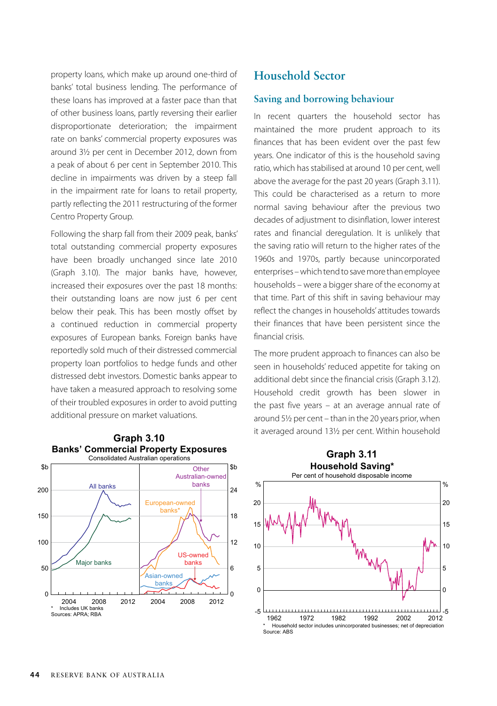property loans, which make up around one-third of banks' total business lending. The performance of these loans has improved at a faster pace than that of other business loans, partly reversing their earlier disproportionate deterioration; the impairment rate on banks' commercial property exposures was around 3½ per cent in December 2012, down from a peak of about 6 per cent in September 2010. This decline in impairments was driven by a steep fall in the impairment rate for loans to retail property, partly reflecting the 2011 restructuring of the former Centro Property Group.

Following the sharp fall from their 2009 peak, banks' total outstanding commercial property exposures have been broadly unchanged since late 2010 (Graph 3.10). The major banks have, however, increased their exposures over the past 18 months: their outstanding loans are now just 6 per cent below their peak. This has been mostly offset by a continued reduction in commercial property exposures of European banks. Foreign banks have reportedly sold much of their distressed commercial property loan portfolios to hedge funds and other distressed debt investors. Domestic banks appear to have taken a measured approach to resolving some of their troubled exposures in order to avoid putting additional pressure on market valuations.



## **Graph 3.11 Banks' Commercial Property Exposures**

### **Household Sector**

#### **Saving and borrowing behaviour**

In recent quarters the household sector has maintained the more prudent approach to its finances that has been evident over the past few years. One indicator of this is the household saving ratio, which has stabilised at around 10 per cent, well above the average for the past 20 years (Graph 3.11). This could be characterised as a return to more normal saving behaviour after the previous two decades of adjustment to disinflation, lower interest rates and financial deregulation. It is unlikely that the saving ratio will return to the higher rates of the 1960s and 1970s, partly because unincorporated enterprises – which tend to save more than employee households – were a bigger share of the economy at that time. Part of this shift in saving behaviour may reflect the changes in households' attitudes towards their finances that have been persistent since the financial crisis.

The more prudent approach to finances can also be seen in households' reduced appetite for taking on additional debt since the financial crisis (Graph 3.12). Household credit growth has been slower in the past five years – at an average annual rate of around 5½ per cent – than in the 20 years prior, when it averaged around 13½ per cent. Within household **Graph 3.10**

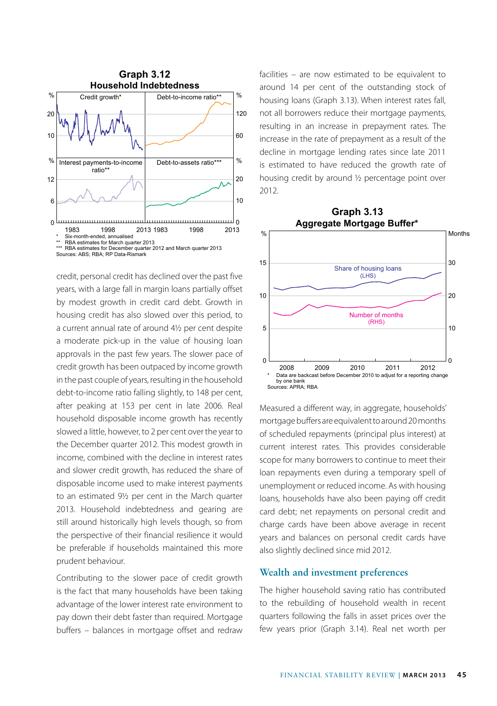

credit, personal credit has declined over the past five years, with a large fall in margin loans partially offset by modest growth in credit card debt. Growth in housing credit has also slowed over this period, to a current annual rate of around 4½ per cent despite a moderate pick-up in the value of housing loan approvals in the past few years. The slower pace of credit growth has been outpaced by income growth in the past couple of years, resulting in the household debt-to-income ratio falling slightly, to 148 per cent, after peaking at 153 per cent in late 2006. Real household disposable income growth has recently slowed a little, however, to 2 per cent over the year to the December quarter 2012. This modest growth in income, combined with the decline in interest rates and slower credit growth, has reduced the share of disposable income used to make interest payments to an estimated 9½ per cent in the March quarter 2013. Household indebtedness and gearing are still around historically high levels though, so from the perspective of their financial resilience it would be preferable if households maintained this more prudent behaviour.

Contributing to the slower pace of credit growth is the fact that many households have been taking advantage of the lower interest rate environment to pay down their debt faster than required. Mortgage buffers – balances in mortgage offset and redraw facilities – are now estimated to be equivalent to around 14 per cent of the outstanding stock of housing loans (Graph 3.13). When interest rates fall, not all borrowers reduce their mortgage payments, resulting in an increase in prepayment rates. The increase in the rate of prepayment as a result of the decline in mortgage lending rates since late 2011 is estimated to have reduced the growth rate of housing credit by around ½ percentage point over 2012.



Measured a different way, in aggregate, households' mortgage buffers are equivalent to around 20 months of scheduled repayments (principal plus interest) at current interest rates. This provides considerable scope for many borrowers to continue to meet their loan repayments even during a temporary spell of unemployment or reduced income. As with housing loans, households have also been paying off credit card debt; net repayments on personal credit and charge cards have been above average in recent years and balances on personal credit cards have also slightly declined since mid 2012.

### **Wealth and investment preferences**

The higher household saving ratio has contributed to the rebuilding of household wealth in recent quarters following the falls in asset prices over the few years prior (Graph 3.14). Real net worth per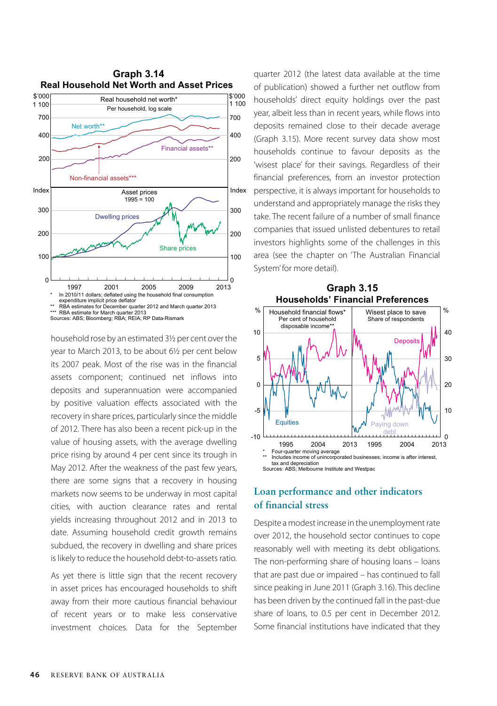

household rose by an estimated 31/2 per cent over the year to March 2013, to be about 6½ per cent below its 2007 peak. Most of the rise was in the financial assets component; continued net inflows into deposits and superannuation were accompanied by positive valuation effects associated with the recovery in share prices, particularly since the middle of 2012. There has also been a recent pick-up in the value of housing assets, with the average dwelling price rising by around 4 per cent since its trough in May 2012. After the weakness of the past few years, there are some signs that a recovery in housing markets now seems to be underway in most capital cities, with auction clearance rates and rental yields increasing throughout 2012 and in 2013 to date. Assuming household credit growth remains subdued, the recovery in dwelling and share prices is likely to reduce the household debt-to-assets ratio.

As yet there is little sign that the recent recovery in asset prices has encouraged households to shift away from their more cautious financial behaviour of recent years or to make less conservative investment choices. Data for the September quarter 2012 (the latest data available at the time of publication) showed a further net outflow from households' direct equity holdings over the past year, albeit less than in recent years, while flows into deposits remained close to their decade average (Graph 3.15). More recent survey data show most households continue to favour deposits as the 'wisest place' for their savings. Regardless of their financial preferences, from an investor protection perspective, it is always important for households to understand and appropriately manage the risks they take. The recent failure of a number of small finance companies that issued unlisted debentures to retail investors highlights some of the challenges in this area (see the chapter on 'The Australian Financial System' for more detail).



# **Loan performance and other indicators**

### **of financial stress**

Despite a modest increase in the unemployment rate over 2012, the household sector continues to cope reasonably well with meeting its debt obligations. The non-performing share of housing loans – loans that are past due or impaired – has continued to fall since peaking in June 2011 (Graph 3.16). This decline has been driven by the continued fall in the past-due share of loans, to 0.5 per cent in December 2012. Some financial institutions have indicated that they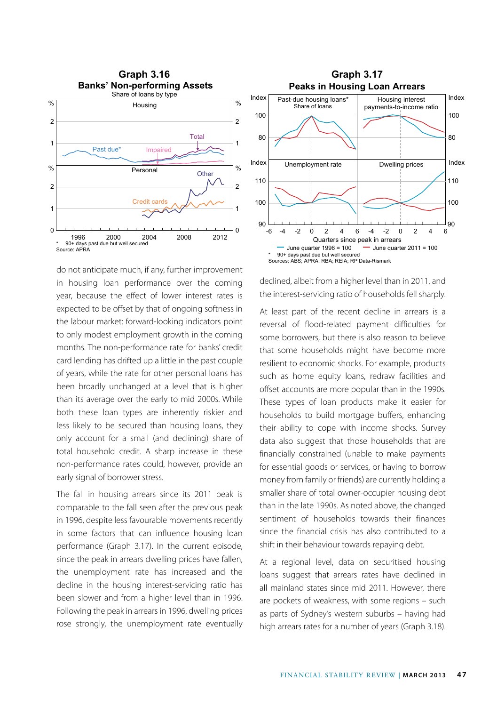

do not anticipate much, if any, further improvement in housing loan performance over the coming year, because the effect of lower interest rates is expected to be offset by that of ongoing softness in the labour market: forward-looking indicators point to only modest employment growth in the coming months. The non-performance rate for banks' credit card lending has drifted up a little in the past couple of years, while the rate for other personal loans has been broadly unchanged at a level that is higher than its average over the early to mid 2000s. While both these loan types are inherently riskier and less likely to be secured than housing loans, they only account for a small (and declining) share of total household credit. A sharp increase in these non-performance rates could, however, provide an early signal of borrower stress.

The fall in housing arrears since its 2011 peak is comparable to the fall seen after the previous peak in 1996, despite less favourable movements recently in some factors that can influence housing loan performance (Graph 3.17). In the current episode, since the peak in arrears dwelling prices have fallen, the unemployment rate has increased and the decline in the housing interest-servicing ratio has been slower and from a higher level than in 1996. Following the peak in arrears in 1996, dwelling prices rose strongly, the unemployment rate eventually



declined, albeit from a higher level than in 2011, and the interest-servicing ratio of households fell sharply.

At least part of the recent decline in arrears is a reversal of flood-related payment difficulties for some borrowers, but there is also reason to believe that some households might have become more resilient to economic shocks. For example, products such as home equity loans, redraw facilities and offset accounts are more popular than in the 1990s. These types of loan products make it easier for households to build mortgage buffers, enhancing their ability to cope with income shocks. Survey data also suggest that those households that are financially constrained (unable to make payments for essential goods or services, or having to borrow money from family or friends) are currently holding a smaller share of total owner-occupier housing debt than in the late 1990s. As noted above, the changed sentiment of households towards their finances since the financial crisis has also contributed to a shift in their behaviour towards repaying debt.

At a regional level, data on securitised housing loans suggest that arrears rates have declined in all mainland states since mid 2011. However, there are pockets of weakness, with some regions – such as parts of Sydney's western suburbs – having had high arrears rates for a number of years (Graph 3.18).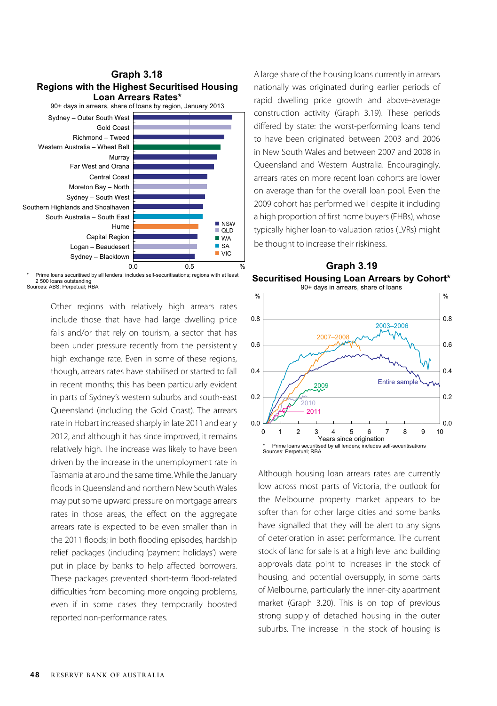

Prime loans securitised by all lenders; includes self-securitisations; regions with at least 2 500 loans outstanding Sources: ABS; Perpetual; RBA

> Other regions with relatively high arrears rates include those that have had large dwelling price falls and/or that rely on tourism, a sector that has been under pressure recently from the persistently high exchange rate. Even in some of these regions, though, arrears rates have stabilised or started to fall in recent months; this has been particularly evident in parts of Sydney's western suburbs and south-east Queensland (including the Gold Coast). The arrears rate in Hobart increased sharply in late 2011 and early 2012, and although it has since improved, it remains relatively high. The increase was likely to have been driven by the increase in the unemployment rate in Tasmania at around the same time. While the January floods in Queensland and northern New South Wales may put some upward pressure on mortgage arrears rates in those areas, the effect on the aggregate arrears rate is expected to be even smaller than in the 2011 floods; in both flooding episodes, hardship relief packages (including 'payment holidays') were put in place by banks to help affected borrowers. These packages prevented short-term flood-related difficulties from becoming more ongoing problems, even if in some cases they temporarily boosted reported non-performance rates.

A large share of the housing loans currently in arrears nationally was originated during earlier periods of rapid dwelling price growth and above-average construction activity (Graph 3.19). These periods differed by state: the worst-performing loans tend to have been originated between 2003 and 2006 in New South Wales and between 2007 and 2008 in Queensland and Western Australia. Encouragingly, arrears rates on more recent loan cohorts are lower on average than for the overall loan pool. Even the 2009 cohort has performed well despite it including a high proportion of first home buyers (FHBs), whose typically higher loan-to-valuation ratios (LVRs) might be thought to increase their riskiness.



Although housing loan arrears rates are currently low across most parts of Victoria, the outlook for the Melbourne property market appears to be softer than for other large cities and some banks have signalled that they will be alert to any signs of deterioration in asset performance. The current stock of land for sale is at a high level and building approvals data point to increases in the stock of housing, and potential oversupply, in some parts of Melbourne, particularly the inner-city apartment market (Graph 3.20). This is on top of previous strong supply of detached housing in the outer suburbs. The increase in the stock of housing is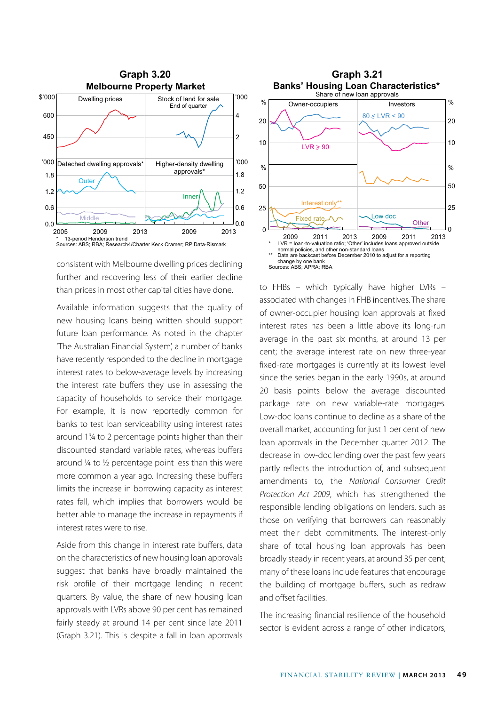

consistent with Melbourne dwelling prices declining further and recovering less of their earlier decline than prices in most other capital cities have done.

Available information suggests that the quality of new housing loans being written should support future loan performance. As noted in the chapter 'The Australian Financial System', a number of banks have recently responded to the decline in mortgage interest rates to below-average levels by increasing the interest rate buffers they use in assessing the capacity of households to service their mortgage. For example, it is now reportedly common for banks to test loan serviceability using interest rates around 1¾ to 2 percentage points higher than their discounted standard variable rates, whereas buffers around ¼ to ½ percentage point less than this were more common a year ago. Increasing these buffers limits the increase in borrowing capacity as interest rates fall, which implies that borrowers would be better able to manage the increase in repayments if interest rates were to rise.

Aside from this change in interest rate buffers, data on the characteristics of new housing loan approvals suggest that banks have broadly maintained the risk profile of their mortgage lending in recent quarters. By value, the share of new housing loan approvals with LVRs above 90 per cent has remained fairly steady at around 14 per cent since late 2011 (Graph 3.21). This is despite a fall in loan approvals



to FHBs – which typically have higher LVRs – associated with changes in FHB incentives. The share of owner-occupier housing loan approvals at fixed interest rates has been a little above its long-run average in the past six months, at around 13 per cent; the average interest rate on new three-year fixed-rate mortgages is currently at its lowest level since the series began in the early 1990s, at around 20 basis points below the average discounted package rate on new variable-rate mortgages. Low-doc loans continue to decline as a share of the overall market, accounting for just 1 per cent of new loan approvals in the December quarter 2012. The decrease in low-doc lending over the past few years partly reflects the introduction of, and subsequent amendments to, the *National Consumer Credit Protection Act 2009*, which has strengthened the responsible lending obligations on lenders, such as those on verifying that borrowers can reasonably meet their debt commitments. The interest-only share of total housing loan approvals has been broadly steady in recent years, at around 35 per cent; many of these loans include features that encourage the building of mortgage buffers, such as redraw and offset facilities.

The increasing financial resilience of the household sector is evident across a range of other indicators,